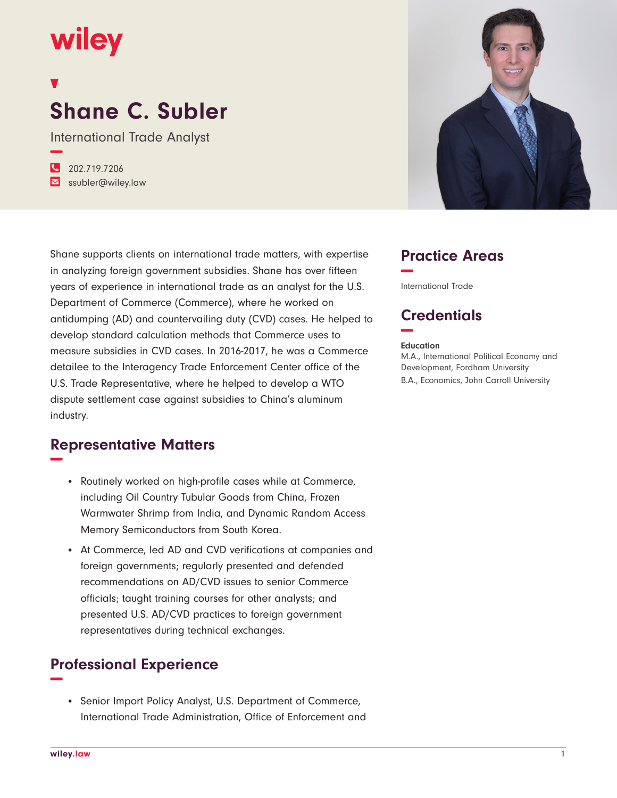## wiley

# **Shane C. Subler**

International Trade Analyst **−**

**�** 202.719.7206 **�** ssubler@wiley.law



Shane supports clients on international trade matters, with expertise in analyzing foreign government subsidies. Shane has over fifteen years of experience in international trade as an analyst for the U.S. Department of Commerce (Commerce), where he worked on antidumping (AD) and countervailing duty (CVD) cases. He helped to develop standard calculation methods that Commerce uses to measure subsidies in CVD cases. In 2016-2017, he was a Commerce detailee to the Interagency Trade Enforcement Center office of the U.S. Trade Representative, where he helped to develop a WTO dispute settlement case against subsidies to China's aluminum industry.

#### **Representative Matters −**

- Routinely worked on high-profile cases while at Commerce, including Oil Country Tubular Goods from China, Frozen Warmwater Shrimp from India, and Dynamic Random Access Memory Semiconductors from South Korea.
- At Commerce, led AD and CVD verifications at companies and foreign governments; regularly presented and defended recommendations on AD/CVD issues to senior Commerce officials; taught training courses for other analysts; and presented U.S. AD/CVD practices to foreign government representatives during technical exchanges.

#### **Professional Experience −**

• Senior Import Policy Analyst, U.S. Department of Commerce, International Trade Administration, Office of Enforcement and



#### **Practice Areas −**

International Trade

### **Credentials −**

#### **Education**

M.A., International Political Economy and Development, Fordham University B.A., Economics, John Carroll University